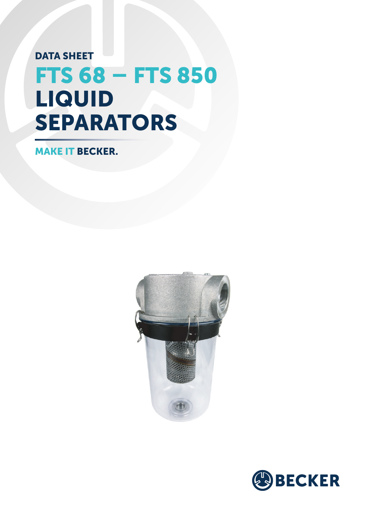## FTS 68 – FTS 850 DATA SHEET LIQUID SEPARATORS

MAKE IT BECKER.



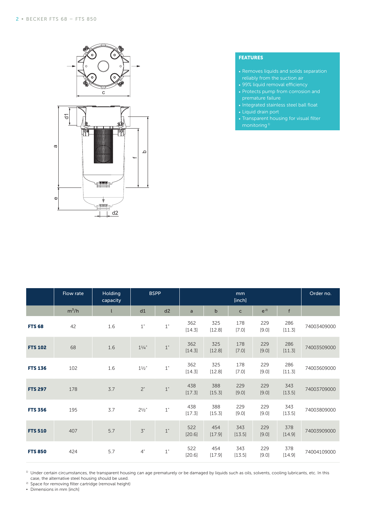

## FEATURES

- Removes liquids and solids separation reliably from the suction air
- 99% liquid removal efficiency
- Protects pump from corrosion and
- Integrated stainless steel ball float
- Liquid drain port
- Transparent housing for visual filter monitoring<sup>1)</sup>

|                | Flow rate | Holding<br>capacity | <b>BSPP</b>            |                        | mm<br>[inch]  |               |               |              |               | Order no.   |
|----------------|-----------|---------------------|------------------------|------------------------|---------------|---------------|---------------|--------------|---------------|-------------|
|                | $m^3/h$   | t                   | d1                     | d2                     | a             | $\mathbf b$   | $\mathsf{C}$  | $e^{2}$      | f             |             |
| <b>FTS 68</b>  | 42        | 1.6                 | $1\ensuremath{^\circ}$ | $1\ensuremath{^\circ}$ | 362<br>[14.3] | 325<br>[12.8] | 178<br>[7.0]  | 229<br>[9.0] | 286<br>[11.3] | 74003409000 |
| <b>FTS 102</b> | 68        | 1.6                 | $1^{1/4}$              | $1"$                   | 362<br>[14.3] | 325<br>[12.8] | 178<br>[7.0]  | 229<br>[9.0] | 286<br>[11.3] | 74003509000 |
| <b>FTS 136</b> | 102       | 1.6                 | $11/2$ "               | $1\ensuremath{^\circ}$ | 362<br>[14.3] | 325<br>[12.8] | 178<br>[7.0]  | 229<br>[9.0] | 286<br>[11.3] | 74003609000 |
| <b>FTS 297</b> | 178       | 3.7                 | 2"                     | $1"$                   | 438<br>[17.3] | 388<br>[15.3] | 229<br>[9.0]  | 229<br>[9.0] | 343<br>[13.5] | 74003709000 |
| <b>FTS 356</b> | 195       | 3.7                 | $2^{1/2}$ "            | $1\ensuremath{^\circ}$ | 438<br>[17.3] | 388<br>[15.3] | 229<br>[9.0]  | 229<br>[9.0] | 343<br>[13.5] | 74003809000 |
| <b>FTS 510</b> | 407       | 5.7                 | $\mathcal{I}$ "        | $1"$                   | 522<br>[20.6] | 454<br>[17.9] | 343<br>[13.5] | 229<br>[9.0] | 378<br>[14.9] | 74003909000 |
| <b>FTS 850</b> | 424       | 5.7                 | 4"                     | $1\ensuremath{^\circ}$ | 522<br>[20.6] | 454<br>[17.9] | 343<br>[13.5] | 229<br>[9.0] | 378<br>[14.9] | 74004109000 |

 $^{\rm 1)}$  Under certain circumstances, the transparent housing can age prematurely or be damaged by liquids such as oils, solvents, cooling lubricants, etc. In this case, the alternative steel housing should be used.

<sup>2)</sup> Space for removing filter cartridge (removal height)

**▪** Dimensions in mm [inch]